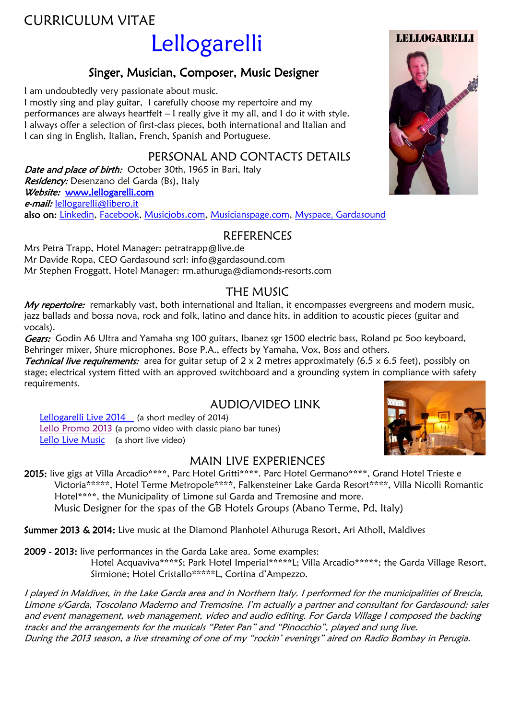# CURRICULUM VITAE

# Lellogarelli

# Singer, Musician, Composer, Music Designer

I am undoubtedly very passionate about music.

I mostly sing and play guitar, I carefully choose my repertoire and my performances are always heartfelt – I really give it my all, and I do it with style. I always offer a selection of first-class pieces, both international and Italian and I can sing in English, Italian, French, Spanish and Portuguese.

## PERSONAL AND CONTACTS DETAILS

Date and place of birth: October 30th, 1965 in Bari, Italy Residency: Desenzano del Garda (Bs), Italy Website: [www.lellogarelli.com](http://www.lellogarelli.com/) e-mail: [lellogarelli@libero.it](mailto:lellogarelli@libero.it) also on: [Linkedin,](https://www.linkedin.com/pub/lello-garelli/83/792/b3) [Facebook,](https://www.facebook.com/lellogarelli) [Musicjobs.com,](http://www.music-jobs.com/it/profile.php?uid=1431966) [Musicianspage.com,](http://www.musicianspage.com/musicians/Lellogarelli/) [Myspace](https://myspace.com/lellogarelli/bio), [Gardasound](https://myspace.com/lellogarelli/bio)

## **REFERENCES**

Mrs Petra Trapp, Hotel Manager: [petratrapp@live.de](mailto:petratrapp@live.de) Mr Davide Ropa, CEO Gardasound scrl: [info@gardasound.com](mailto:info@gardasound.com) Mr Stephen Froggatt, Hotel Manager: [rm.athuruga@diamonds-resorts.com](mailto:rm.athuruga@diamonds-resorts.com)

# THE MUSIC

My repertoire: remarkably vast, both international and Italian, it encompasses evergreens and modern music, jazz ballads and bossa nova, rock and folk, latino and dance hits, in addition to acoustic pieces (guitar and vocals).

Gears: Godin A6 Ultra and Yamaha sng 100 guitars, Ibanez sgr 1500 electric bass, Roland pc 500 keyboard, Behringer mixer, Shure microphones, Bose P.A., effects by Yamaha, Vox, Boss and others.

**Technical live requirements:** area for guitar setup of  $2 \times 2$  metres approximately (6.5 x 6.5 feet), possibly on stage; electrical system fitted with an approved switchboard and a grounding system in compliance with safety requirements.

### AUDIO/VIDEO LINK

[Lellogarelli Live 2014](https://youtu.be/IVfSQ7P8JSo) (a short medley of 2014) [Lello Promo 2013](http://www.youtube.com/watch?v=aBjAg5kIev4) (a promo video with classic piano bar tunes) [Lello Live Music](http://www.youtube.com/watch?v=xp0EAq_SQz0) (a short live video)

### MAIN LIVE EXPERIENCES

2015: live gigs at Villa Arcadio\*\*\*\*, Parc Hotel Gritti\*\*\*\*. Parc Hotel Germano\*\*\*\*, Grand Hotel Trieste e Victoria\*\*\*\*\*, Hotel Terme Metropole\*\*\*\*, Falkensteiner Lake Garda Resort\*\*\*\*, Villa Nicolli Romantic Hotel\*\*\*\*, the Municipality of Limone sul Garda and Tremosine and more. Music Designer for the spas of the GB Hotels Groups (Abano Terme, Pd, Italy)

Summer 2013 & 2014: Live music at the Diamond Planhotel Athuruga Resort, Ari Atholl, Maldives

2009 - 2013: live performances in the Garda Lake area. Some examples:

Hotel Acquaviva\*\*\*\*S; Park Hotel Imperial\*\*\*\*\*L; Villa Arcadio\*\*\*\*\*; the Garda Village Resort, Sirmione; Hotel Cristallo\*\*\*\*\*L, Cortina d"Ampezzo.

I played in Maldives, in the Lake Garda area and in Northern Italy. I performed for the municipalities of Brescia, Limone s/Garda, Toscolano Maderno and Tremosine. I"m actually a partner and consultant for Gardasound: sales and event management, web management, video and audio editing. For Garda Village I composed the backing tracks and the arrangements for the musicals "Peter Pan" and "Pinocchio", played and sung live. During the 2013 season, a live streaming of one of my "rockin" evenings" aired on [Radio Bombay](http://www.radiobombay.it/) in Perugia.

LELLOGARELLI



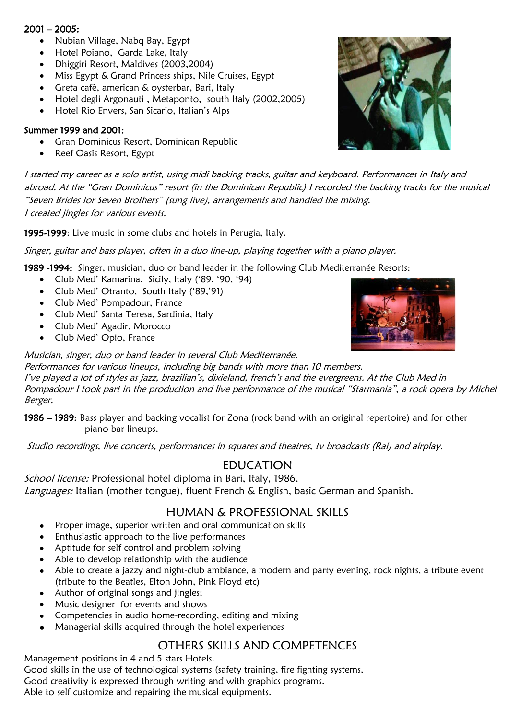### $2001 - 2005$ :

- Nubian Village, Nabq Bay, Egypt
- Hotel Poiano, Garda Lake, Italy
- Dhiggiri Resort, Maldives (2003,2004)
- Miss Egypt & Grand Princess ships, Nile Cruises, Egypt
- Greta cafè, american & oysterbar, Bari, Italy
- Hotel degli Argonauti , Metaponto, south Italy (2002,2005)
- Hotel Rio Envers, San Sicario, Italian"s Alps

### Summer 1999 and 2001:

- Gran Dominicus Resort, Dominican Republic
- Reef Oasis Resort, Egypt

I started my career as a solo artist, using midi backing tracks, guitar and keyboard. Performances in Italy and abroad. At the "Gran Dominicus" resort (in the Dominican Republic) I recorded the backing tracks for the musical "Seven Brides for Seven Brothers" (sung live), arrangements and handled the mixing. I created jingles for various events.

1995-1999: Live music in some clubs and hotels in Perugia, Italy.

Singer, guitar and bass player, often in a duo line-up, playing together with a piano player.

1989 -1994: Singer, musician, duo or band leader in the following Club Mediterranée Resorts:

- Club Med" Kamarina, Sicily, Italy ("89, "90, "94)
- Club Med' Otranto, South Italy ('89,'91)
- Club Med" Pompadour, France
- Club Med" Santa Teresa, Sardinia, Italy
- Club Med" Agadir, Morocco
- Club Med" Opio, France

### Musician, singer, duo or band leader in several Club Mediterranée.

Performances for various lineups, including big bands with more than 10 members. I've played a lot of styles as jazz, brazilian's, dixieland, french's and the evergreens. At the Club Med in Pompadour I took part in the production and live performance of the musical "Starmania", a rock opera by Michel Berger.

1986 – 1989: Bass player and backing vocalist for Zona (rock band with an original repertoire) and for other piano bar lineups.

Studio recordings, live concerts, performances in squares and theatres, tv broadcasts (Rai) and airplay.

### EDUCATION

School license: Professional hotel diploma in Bari, Italy, 1986. Languages: Italian (mother tongue), fluent French & English, basic German and Spanish.

### HUMAN & PROFESSIONAL SKILLS

- Proper image, superior written and oral communication skills
- Enthusiastic approach to the live performances
- Aptitude for self control and problem solving
- Able to develop relationship with the audience
- Able to create a jazzy and night-club ambiance, a modern and party evening, rock nights, a tribute event (tribute to the Beatles, Elton John, Pink Floyd etc)
- Author of original songs and jingles;
- Music designer for events and shows
- Competencies in audio home-recording, editing and mixing
- Managerial skills acquired through the hotel experiences

### OTHERS SKILLS AND COMPETENCES

Management positions in 4 and 5 stars Hotels. Good skills in the use of technological systems (safety training, fire fighting systems, Good creativity is expressed through writing and with graphics programs. Able to self customize and repairing the musical equipments.



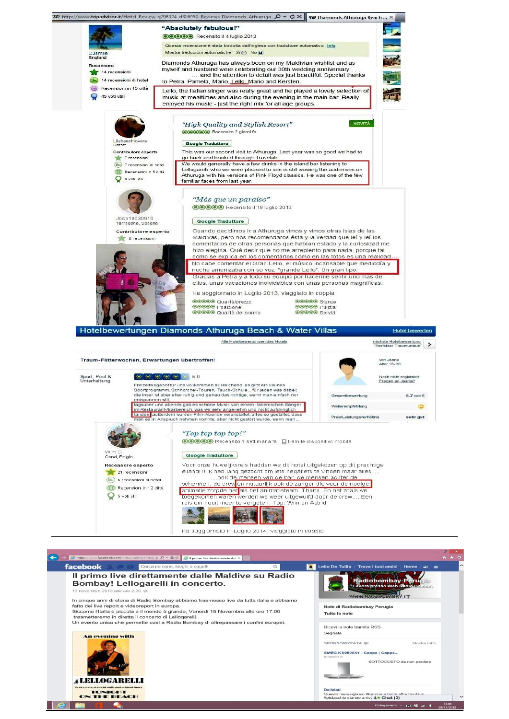

![](_page_2_Picture_1.jpeg)